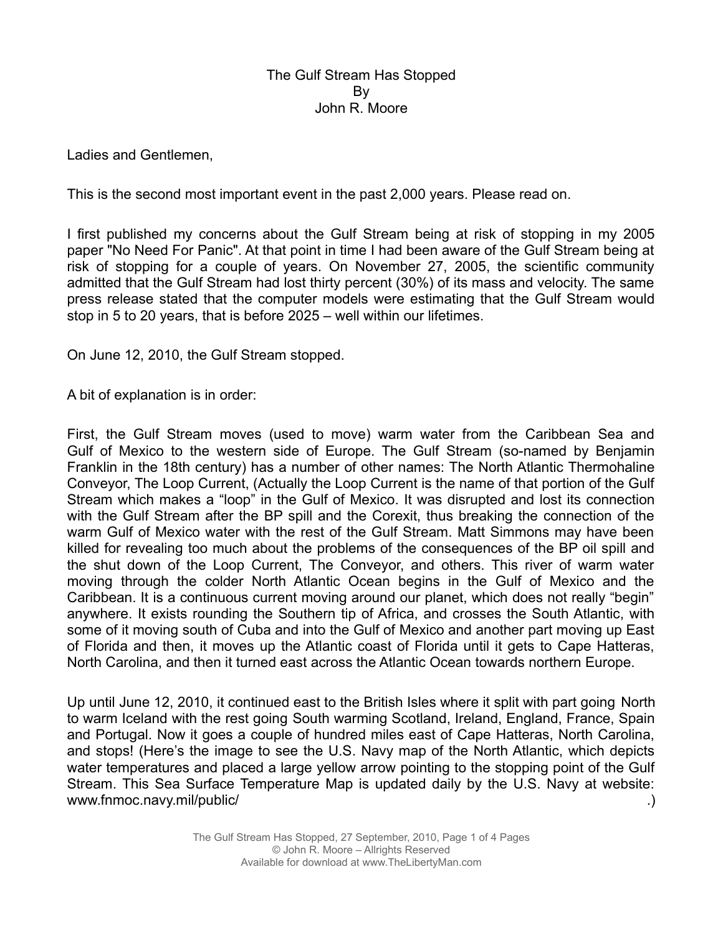## The Gulf Stream Has Stopped By John R. Moore

Ladies and Gentlemen,

This is the second most important event in the past 2,000 years. Please read on.

I first published my concerns about the Gulf Stream being at risk of stopping in my 2005 paper "No Need For Panic". At that point in time I had been aware of the Gulf Stream being at risk of stopping for a couple of years. On November 27, 2005, the scientific community admitted that the Gulf Stream had lost thirty percent (30%) of its mass and velocity. The same press release stated that the computer models were estimating that the Gulf Stream would stop in 5 to 20 years, that is before 2025 – well within our lifetimes.

On June 12, 2010, the Gulf Stream stopped.

A bit of explanation is in order:

First, the Gulf Stream moves (used to move) warm water from the Caribbean Sea and Gulf of Mexico to the western side of Europe. The Gulf Stream (so-named by Benjamin Franklin in the 18th century) has a number of other names: The North Atlantic Thermohaline Conveyor, The Loop Current, (Actually the Loop Current is the name of that portion of the Gulf Stream which makes a "loop" in the Gulf of Mexico. It was disrupted and lost its connection with the Gulf Stream after the BP spill and the Corexit, thus breaking the connection of the warm Gulf of Mexico water with the rest of the Gulf Stream. Matt Simmons may have been killed for revealing too much about the problems of the consequences of the BP oil spill and the shut down of the Loop Current, The Conveyor, and others. This river of warm water moving through the colder North Atlantic Ocean begins in the Gulf of Mexico and the Caribbean. It is a continuous current moving around our planet, which does not really "begin" anywhere. It exists rounding the Southern tip of Africa, and crosses the South Atlantic, with some of it moving south of Cuba and into the Gulf of Mexico and another part moving up East of Florida and then, it moves up the Atlantic coast of Florida until it gets to Cape Hatteras, North Carolina, and then it turned east across the Atlantic Ocean towards northern Europe.

Up until June 12, 2010, it continued east to the British Isles where it split with part going North to warm Iceland with the rest going South warming Scotland, Ireland, England, France, Spain and Portugal. Now it goes a couple of hundred miles east of Cape Hatteras, North Carolina, and stops! (Here's the image to see the U.S. Navy map of the North Atlantic, which depicts water temperatures and placed a large yellow arrow pointing to the stopping point of the Gulf Stream. This Sea Surface Temperature Map is updated daily by the U.S. Navy at website: www.fnmoc.navy.mil/public/ .)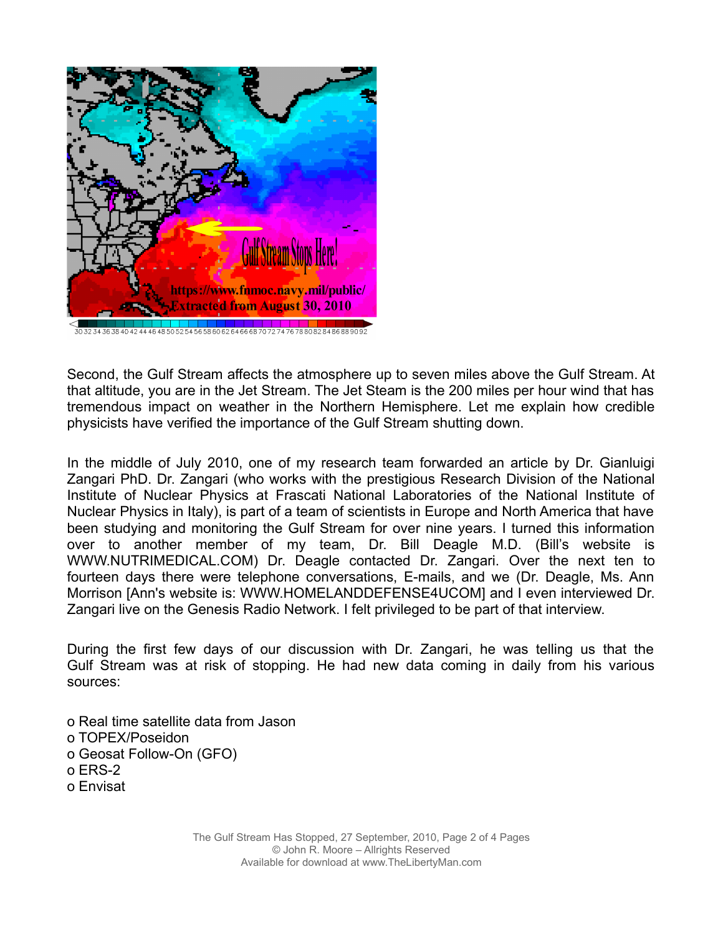

Second, the Gulf Stream affects the atmosphere up to seven miles above the Gulf Stream. At that altitude, you are in the Jet Stream. The Jet Steam is the 200 miles per hour wind that has tremendous impact on weather in the Northern Hemisphere. Let me explain how credible physicists have verified the importance of the Gulf Stream shutting down.

In the middle of July 2010, one of my research team forwarded an article by Dr. Gianluigi Zangari PhD. Dr. Zangari (who works with the prestigious Research Division of the National Institute of Nuclear Physics at Frascati National Laboratories of the National Institute of Nuclear Physics in Italy), is part of a team of scientists in Europe and North America that have been studying and monitoring the Gulf Stream for over nine years. I turned this information over to another member of my team, Dr. Bill Deagle M.D. (Bill's website is WWW.NUTRIMEDICAL.COM) Dr. Deagle contacted Dr. Zangari. Over the next ten to fourteen days there were telephone conversations, E-mails, and we (Dr. Deagle, Ms. Ann Morrison [Ann's website is: WWW.HOMELANDDEFENSE4UCOM] and I even interviewed Dr. Zangari live on the Genesis Radio Network. I felt privileged to be part of that interview.

During the first few days of our discussion with Dr. Zangari, he was telling us that the Gulf Stream was at risk of stopping. He had new data coming in daily from his various sources:

ο Real time satellite data from Jason ο TOPEX/Poseidon ο Geosat Follow-On (GFO) ο ERS-2 ο Envisat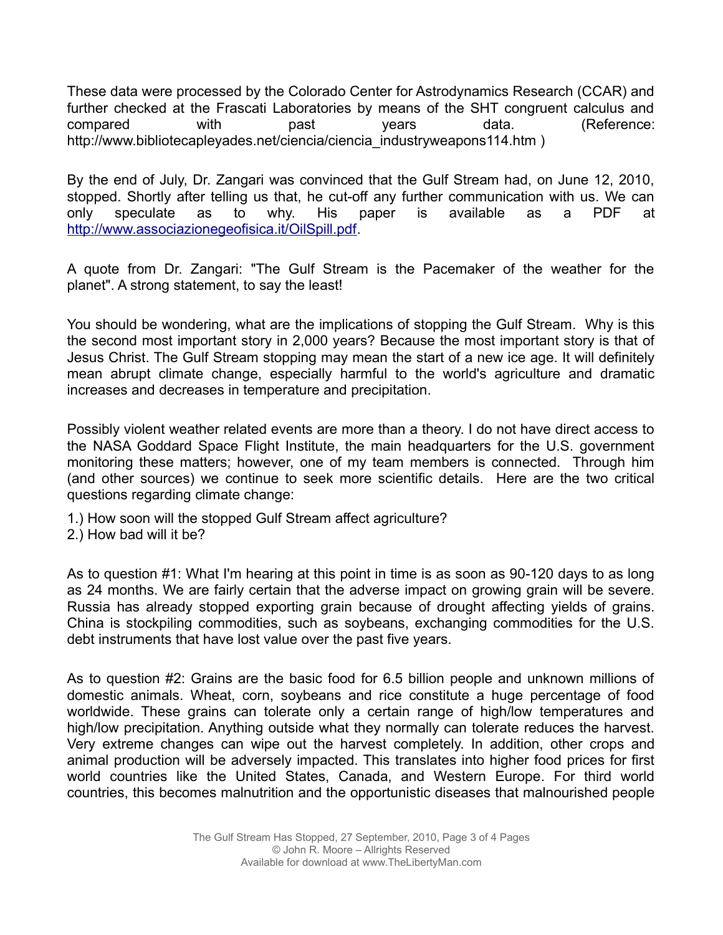These data were processed by the Colorado Center for Astrodynamics Research (CCAR) and further checked at the Frascati Laboratories by means of the SHT congruent calculus and compared with past years data. (Reference: http://www.bibliotecapleyades.net/ciencia/ciencia\_industryweapons114.htm )

By the end of July, Dr. Zangari was convinced that the Gulf Stream had, on June 12, 2010, stopped. Shortly after telling us that, he cut-off any further communication with us. We can only speculate as to why. His paper is available as a PDF at [http://www.associazionegeofisica.it/OilSpill.pdf.](http://www.associazionegeofisica.it/OilSpill.pdf)

A quote from Dr. Zangari: "The Gulf Stream is the Pacemaker of the weather for the planet". A strong statement, to say the least!

You should be wondering, what are the implications of stopping the Gulf Stream. Why is this the second most important story in 2,000 years? Because the most important story is that of Jesus Christ. The Gulf Stream stopping may mean the start of a new ice age. It will definitely mean abrupt climate change, especially harmful to the world's agriculture and dramatic increases and decreases in temperature and precipitation.

Possibly violent weather related events are more than a theory. I do not have direct access to the NASA Goddard Space Flight Institute, the main headquarters for the U.S. government monitoring these matters; however, one of my team members is connected. Through him (and other sources) we continue to seek more scientific details. Here are the two critical questions regarding climate change:

- 1.) How soon will the stopped Gulf Stream affect agriculture?
- 2.) How bad will it be?

As to question #1: What I'm hearing at this point in time is as soon as 90-120 days to as long as 24 months. We are fairly certain that the adverse impact on growing grain will be severe. Russia has already stopped exporting grain because of drought affecting yields of grains. China is stockpiling commodities, such as soybeans, exchanging commodities for the U.S. debt instruments that have lost value over the past five years.

As to question #2: Grains are the basic food for 6.5 billion people and unknown millions of domestic animals. Wheat, corn, soybeans and rice constitute a huge percentage of food worldwide. These grains can tolerate only a certain range of high/low temperatures and high/low precipitation. Anything outside what they normally can tolerate reduces the harvest. Very extreme changes can wipe out the harvest completely. In addition, other crops and animal production will be adversely impacted. This translates into higher food prices for first world countries like the United States, Canada, and Western Europe. For third world countries, this becomes malnutrition and the opportunistic diseases that malnourished people